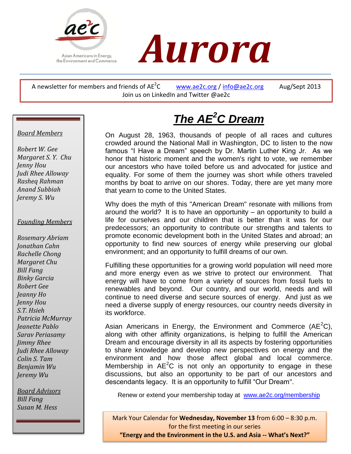



A newsletter for members and friends of  $AE^2C$ [www.ae2c.org](http://www.ae2c.org/) / [info@ae2c.org](mailto:info@ae2c.org) Aug/Sept 2013 Join us on LinkedIn and Twitter @ae2c

# *Board Members*

 *Rasheq Rahman Robert W. Gee Margaret S. Y. Chu Jenny Hou Judi Rhee Alloway Anand Subbiah Jeremy S. Wu*

# *Founding Members*

 *Judi Rhee Alloway Jeremy Wu Rosemary Abriam Jonathan Cahn Rachelle Chong Margaret Chu Bill Fang Binky Garcia Robert Gee Jeanny Ho Jenny Hou S.T. Hsieh Patricia McMurray Jeanette Pablo Sarav Periasamy Jimmy Rhee Colin S. Tam Benjamin Wu*

*Board Advisors Bill Fang Susan M. Hess*

# *The AE<sup>2</sup>C Dream*

On August 28, 1963, thousands of people of all races and cultures crowded around the National Mall in Washington, DC to listen to the now famous "I Have a Dream" speech by Dr. Martin Luther King Jr. As we honor that historic moment and the women's right to vote, we remember our ancestors who have toiled before us and advocated for justice and equality. For some of them the journey was short while others traveled months by boat to arrive on our shores. Today, there are yet many more that yearn to come to the United States.

Why does the myth of this "American Dream" resonate with millions from around the world? It is to have an opportunity – an opportunity to build a life for ourselves and our children that is better than it was for our predecessors; an opportunity to contribute our strengths and talents to promote economic development both in the United States and abroad; an opportunity to find new sources of energy while preserving our global environment; and an opportunity to fulfill dreams of our own.

Fulfilling these opportunities for a growing world population will need more and more energy even as we strive to protect our environment. That energy will have to come from a variety of sources from fossil fuels to renewables and beyond. Our country, and our world, needs and will continue to need diverse and secure sources of energy. And just as we need a diverse supply of energy resources, our country needs diversity in its workforce.

Asian Americans in Energy, the Environment and Commerce (AE<sup>2</sup>C), along with other affinity organizations, is helping to fulfill the American Dream and encourage diversity in all its aspects by fostering opportunities to share knowledge and develop new perspectives on energy and the environment and how those affect global and local commerce. Membership in  $AE^2C$  is not only an opportunity to engage in these discussions, but also an opportunity to be part of our ancestors and descendants legacy. It is an opportunity to fulfill "Our Dream".

Renew or extend your membership today at [www.ae2c.org/membership](http://www.ae2c.org/membership)

Renew or extend your membership today at [www.ae2c.org/membership](http://www.ae2c.org/membership) **"Energy and the Environment in the U.S. and Asia -- What's Next?"**Mark Your Calendar for **Wednesday, November 13** from 6:00 – 8:30 p.m. for the first meeting in our series